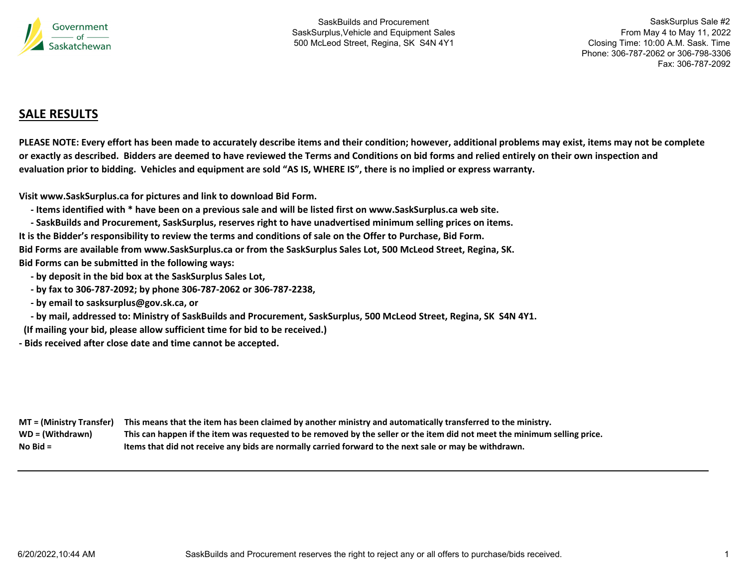

SaskSurplus Sale #2 From May 4 to May 11, 2022 Closing Time: 10:00 A.M. Sask. Time Phone: 306-787-2062 or 306-798-3306 Fax: 306-787-2092

# **SALE RESULTS**

PLEASE NOTE: Every effort has been made to accurately describe items and their condition; however, additional problems may exist, items may not be complete or exactly as described. Bidders are deemed to have reviewed the Terms and Conditions on bid forms and relied entirely on their own inspection and evaluation prior to bidding. Vehicles and equipment are sold "AS IS, WHERE IS", there is no implied or express warranty.

**Visit www.SaskSurplus.ca for pictures and link to download Bid Form.**

- Items identified with \* have been on a previous sale and will be listed first on www.SaskSurplus.ca web site.

- SaskBuilds and Procurement, SaskSurplus, reserves right to have unadvertised minimum selling prices on items. It is the Bidder's responsibility to review the terms and conditions of sale on the Offer to Purchase, Bid Form. Bid Forms are available from www.SaskSurplus.ca or from the SaskSurplus Sales Lot, 500 McLeod Street, Regina, SK.

**Bid Forms can be submitted in the following ways:**

 **‐ by deposit in the bid box at the SaskSurplus Sales Lot,**

- by fax to 306-787-2092; by phone 306-787-2062 or 306-787-2238,

 **‐ by email to sasksurplus@gov.sk.ca, or**

- by mail, addressed to: Ministry of SaskBuilds and Procurement, SaskSurplus, 500 McLeod Street, Regina, SK S4N 4Y1.

**(If mailing your bid, please allow sufficient time for bid to be received.)**

**‐ Bids received after close date and time cannot be accepted.**

|                  | MT = (Ministry Transfer) This means that the item has been claimed by another ministry and automatically transferred to the ministry. |
|------------------|---------------------------------------------------------------------------------------------------------------------------------------|
| WD = (Withdrawn) | This can happen if the item was requested to be removed by the seller or the item did not meet the minimum selling price.             |
| No Bid $=$       | Items that did not receive any bids are normally carried forward to the next sale or may be withdrawn.                                |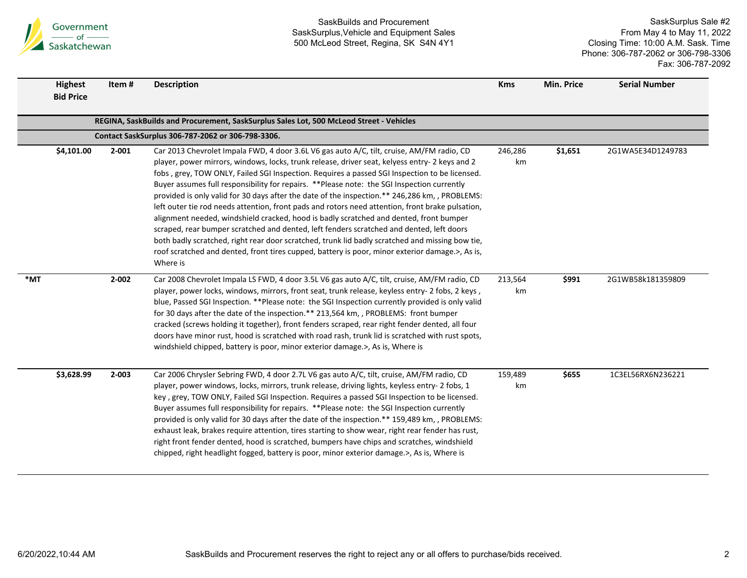

|     | <b>Highest</b><br><b>Bid Price</b>                | Item#     | <b>Description</b>                                                                                                                                                                                                                                                                                                                                                                                                                                                                                                                                                                                                                                                                                                                                                                                                                                                                                                                                                                                      | <b>Kms</b>    | Min. Price | <b>Serial Number</b> |  |  |  |  |
|-----|---------------------------------------------------|-----------|---------------------------------------------------------------------------------------------------------------------------------------------------------------------------------------------------------------------------------------------------------------------------------------------------------------------------------------------------------------------------------------------------------------------------------------------------------------------------------------------------------------------------------------------------------------------------------------------------------------------------------------------------------------------------------------------------------------------------------------------------------------------------------------------------------------------------------------------------------------------------------------------------------------------------------------------------------------------------------------------------------|---------------|------------|----------------------|--|--|--|--|
|     |                                                   |           | REGINA, SaskBuilds and Procurement, SaskSurplus Sales Lot, 500 McLeod Street - Vehicles                                                                                                                                                                                                                                                                                                                                                                                                                                                                                                                                                                                                                                                                                                                                                                                                                                                                                                                 |               |            |                      |  |  |  |  |
|     | Contact SaskSurplus 306-787-2062 or 306-798-3306. |           |                                                                                                                                                                                                                                                                                                                                                                                                                                                                                                                                                                                                                                                                                                                                                                                                                                                                                                                                                                                                         |               |            |                      |  |  |  |  |
|     | \$4,101.00                                        | $2 - 001$ | Car 2013 Chevrolet Impala FWD, 4 door 3.6L V6 gas auto A/C, tilt, cruise, AM/FM radio, CD<br>player, power mirrors, windows, locks, trunk release, driver seat, kelyess entry- 2 keys and 2<br>fobs, grey, TOW ONLY, Failed SGI Inspection. Requires a passed SGI Inspection to be licensed.<br>Buyer assumes full responsibility for repairs. **Please note: the SGI Inspection currently<br>provided is only valid for 30 days after the date of the inspection.** 246,286 km,, PROBLEMS:<br>left outer tie rod needs attention, front pads and rotors need attention, front brake pulsation,<br>alignment needed, windshield cracked, hood is badly scratched and dented, front bumper<br>scraped, rear bumper scratched and dented, left fenders scratched and dented, left doors<br>both badly scratched, right rear door scratched, trunk lid badly scratched and missing bow tie,<br>roof scratched and dented, front tires cupped, battery is poor, minor exterior damage.>, As is,<br>Where is | 246,286<br>km | \$1,651    | 2G1WA5E34D1249783    |  |  |  |  |
| *MT |                                                   | $2 - 002$ | Car 2008 Chevrolet Impala LS FWD, 4 door 3.5L V6 gas auto A/C, tilt, cruise, AM/FM radio, CD<br>player, power locks, windows, mirrors, front seat, trunk release, keyless entry- 2 fobs, 2 keys,<br>blue, Passed SGI Inspection. **Please note: the SGI Inspection currently provided is only valid<br>for 30 days after the date of the inspection.** 213,564 km, , PROBLEMS: front bumper<br>cracked (screws holding it together), front fenders scraped, rear right fender dented, all four<br>doors have minor rust, hood is scratched with road rash, trunk lid is scratched with rust spots,<br>windshield chipped, battery is poor, minor exterior damage.>, As is, Where is                                                                                                                                                                                                                                                                                                                     | 213,564<br>km | \$991      | 2G1WB58k181359809    |  |  |  |  |
|     | \$3,628.99                                        | 2-003     | Car 2006 Chrysler Sebring FWD, 4 door 2.7L V6 gas auto A/C, tilt, cruise, AM/FM radio, CD<br>player, power windows, locks, mirrors, trunk release, driving lights, keyless entry- 2 fobs, 1<br>key, grey, TOW ONLY, Failed SGI Inspection. Requires a passed SGI Inspection to be licensed.<br>Buyer assumes full responsibility for repairs. **Please note: the SGI Inspection currently<br>provided is only valid for 30 days after the date of the inspection.** 159,489 km, , PROBLEMS:<br>exhaust leak, brakes require attention, tires starting to show wear, right rear fender has rust,<br>right front fender dented, hood is scratched, bumpers have chips and scratches, windshield<br>chipped, right headlight fogged, battery is poor, minor exterior damage.>, As is, Where is                                                                                                                                                                                                             | 159,489<br>km | \$655      | 1C3EL56RX6N236221    |  |  |  |  |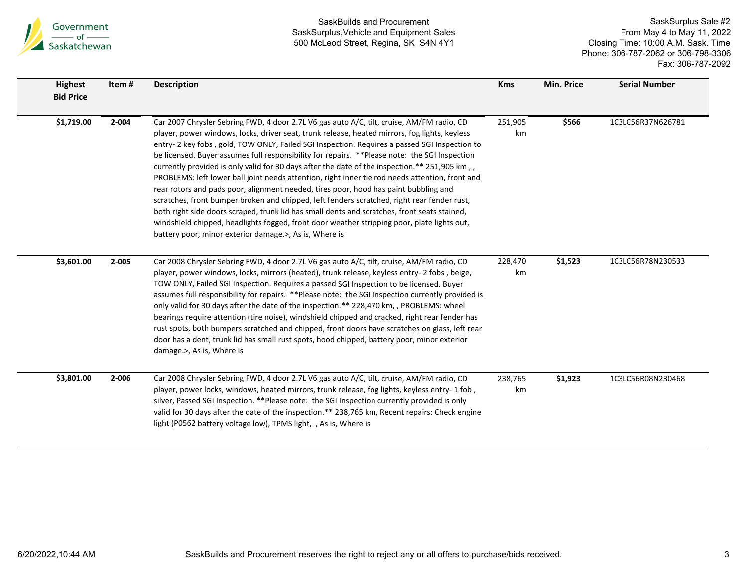

| <b>Highest</b><br><b>Bid Price</b> | Item#     | <b>Description</b>                                                                                                                                                                                                                                                                                                                                                                                                                                                                                                                                                                                                                                                                                                                                                                                                                                                                                                                                                                                                                             | <b>Kms</b>    | Min. Price | <b>Serial Number</b> |
|------------------------------------|-----------|------------------------------------------------------------------------------------------------------------------------------------------------------------------------------------------------------------------------------------------------------------------------------------------------------------------------------------------------------------------------------------------------------------------------------------------------------------------------------------------------------------------------------------------------------------------------------------------------------------------------------------------------------------------------------------------------------------------------------------------------------------------------------------------------------------------------------------------------------------------------------------------------------------------------------------------------------------------------------------------------------------------------------------------------|---------------|------------|----------------------|
| \$1,719.00                         | $2 - 004$ | Car 2007 Chrysler Sebring FWD, 4 door 2.7L V6 gas auto A/C, tilt, cruise, AM/FM radio, CD<br>player, power windows, locks, driver seat, trunk release, heated mirrors, fog lights, keyless<br>entry-2 key fobs, gold, TOW ONLY, Failed SGI Inspection. Requires a passed SGI Inspection to<br>be licensed. Buyer assumes full responsibility for repairs. **Please note: the SGI Inspection<br>currently provided is only valid for 30 days after the date of the inspection.** 251,905 km,<br>PROBLEMS: left lower ball joint needs attention, right inner tie rod needs attention, front and<br>rear rotors and pads poor, alignment needed, tires poor, hood has paint bubbling and<br>scratches, front bumper broken and chipped, left fenders scratched, right rear fender rust,<br>both right side doors scraped, trunk lid has small dents and scratches, front seats stained,<br>windshield chipped, headlights fogged, front door weather stripping poor, plate lights out,<br>battery poor, minor exterior damage.>, As is, Where is | 251,905<br>km | \$566      | 1C3LC56R37N626781    |
| \$3,601.00                         | $2 - 005$ | Car 2008 Chrysler Sebring FWD, 4 door 2.7L V6 gas auto A/C, tilt, cruise, AM/FM radio, CD<br>player, power windows, locks, mirrors (heated), trunk release, keyless entry- 2 fobs, beige,<br>TOW ONLY, Failed SGI Inspection. Requires a passed SGI Inspection to be licensed. Buyer<br>assumes full responsibility for repairs. **Please note: the SGI Inspection currently provided is<br>only valid for 30 days after the date of the inspection.** 228,470 km, , PROBLEMS: wheel<br>bearings require attention (tire noise), windshield chipped and cracked, right rear fender has<br>rust spots, both bumpers scratched and chipped, front doors have scratches on glass, left rear<br>door has a dent, trunk lid has small rust spots, hood chipped, battery poor, minor exterior<br>damage.>, As is, Where is                                                                                                                                                                                                                           | 228,470<br>km | \$1,523    | 1C3LC56R78N230533    |
| \$3,801.00                         | 2-006     | Car 2008 Chrysler Sebring FWD, 4 door 2.7L V6 gas auto A/C, tilt, cruise, AM/FM radio, CD<br>player, power locks, windows, heated mirrors, trunk release, fog lights, keyless entry- 1 fob,<br>silver, Passed SGI Inspection. **Please note: the SGI Inspection currently provided is only<br>valid for 30 days after the date of the inspection.** 238,765 km, Recent repairs: Check engine<br>light (P0562 battery voltage low), TPMS light, , As is, Where is                                                                                                                                                                                                                                                                                                                                                                                                                                                                                                                                                                               | 238,765<br>km | \$1,923    | 1C3LC56R08N230468    |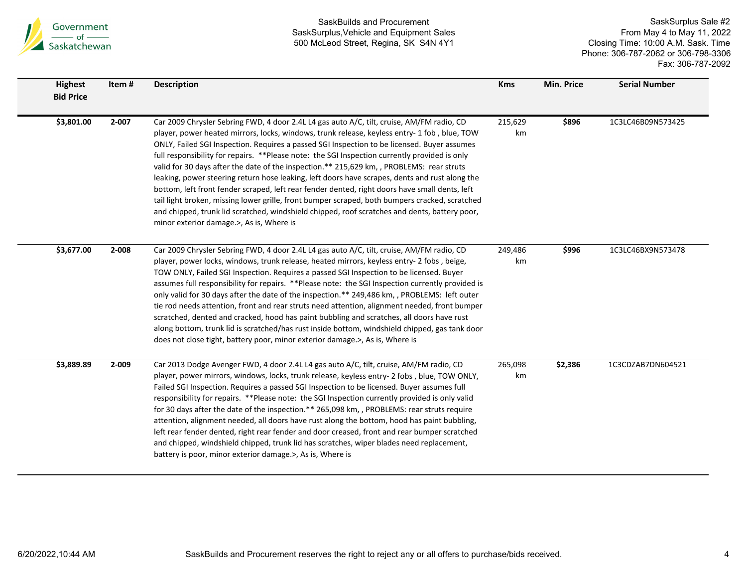

| <b>Highest</b><br><b>Bid Price</b> | Item#     | <b>Description</b>                                                                                                                                                                                                                                                                                                                                                                                                                                                                                                                                                                                                                                                                                                                                                                                                                                                                                                                        | <b>Kms</b>    | Min. Price | <b>Serial Number</b> |
|------------------------------------|-----------|-------------------------------------------------------------------------------------------------------------------------------------------------------------------------------------------------------------------------------------------------------------------------------------------------------------------------------------------------------------------------------------------------------------------------------------------------------------------------------------------------------------------------------------------------------------------------------------------------------------------------------------------------------------------------------------------------------------------------------------------------------------------------------------------------------------------------------------------------------------------------------------------------------------------------------------------|---------------|------------|----------------------|
| \$3,801.00                         | $2 - 007$ | Car 2009 Chrysler Sebring FWD, 4 door 2.4L L4 gas auto A/C, tilt, cruise, AM/FM radio, CD<br>player, power heated mirrors, locks, windows, trunk release, keyless entry- 1 fob, blue, TOW<br>ONLY, Failed SGI Inspection. Requires a passed SGI Inspection to be licensed. Buyer assumes<br>full responsibility for repairs. **Please note: the SGI Inspection currently provided is only<br>valid for 30 days after the date of the inspection.** 215,629 km, , PROBLEMS: rear struts<br>leaking, power steering return hose leaking, left doors have scrapes, dents and rust along the<br>bottom, left front fender scraped, left rear fender dented, right doors have small dents, left<br>tail light broken, missing lower grille, front bumper scraped, both bumpers cracked, scratched<br>and chipped, trunk lid scratched, windshield chipped, roof scratches and dents, battery poor,<br>minor exterior damage.>, As is, Where is | 215,629<br>km | \$896      | 1C3LC46B09N573425    |
| \$3,677.00                         | 2-008     | Car 2009 Chrysler Sebring FWD, 4 door 2.4L L4 gas auto A/C, tilt, cruise, AM/FM radio, CD<br>player, power locks, windows, trunk release, heated mirrors, keyless entry- 2 fobs, beige,<br>TOW ONLY, Failed SGI Inspection. Requires a passed SGI Inspection to be licensed. Buyer<br>assumes full responsibility for repairs. ** Please note: the SGI Inspection currently provided is<br>only valid for 30 days after the date of the inspection.** 249,486 km, , PROBLEMS: left outer<br>tie rod needs attention, front and rear struts need attention, alignment needed, front bumper<br>scratched, dented and cracked, hood has paint bubbling and scratches, all doors have rust<br>along bottom, trunk lid is scratched/has rust inside bottom, windshield chipped, gas tank door<br>does not close tight, battery poor, minor exterior damage.>, As is, Where is                                                                  | 249,486<br>km | \$996      | 1C3LC46BX9N573478    |
| \$3,889.89                         | 2-009     | Car 2013 Dodge Avenger FWD, 4 door 2.4L L4 gas auto A/C, tilt, cruise, AM/FM radio, CD<br>player, power mirrors, windows, locks, trunk release, keyless entry- 2 fobs, blue, TOW ONLY,<br>Failed SGI Inspection. Requires a passed SGI Inspection to be licensed. Buyer assumes full<br>responsibility for repairs. ** Please note: the SGI Inspection currently provided is only valid<br>for 30 days after the date of the inspection.** 265,098 km, , PROBLEMS: rear struts require<br>attention, alignment needed, all doors have rust along the bottom, hood has paint bubbling,<br>left rear fender dented, right rear fender and door creased, front and rear bumper scratched<br>and chipped, windshield chipped, trunk lid has scratches, wiper blades need replacement,<br>battery is poor, minor exterior damage.>, As is, Where is                                                                                            | 265,098<br>km | \$2,386    | 1C3CDZAB7DN604521    |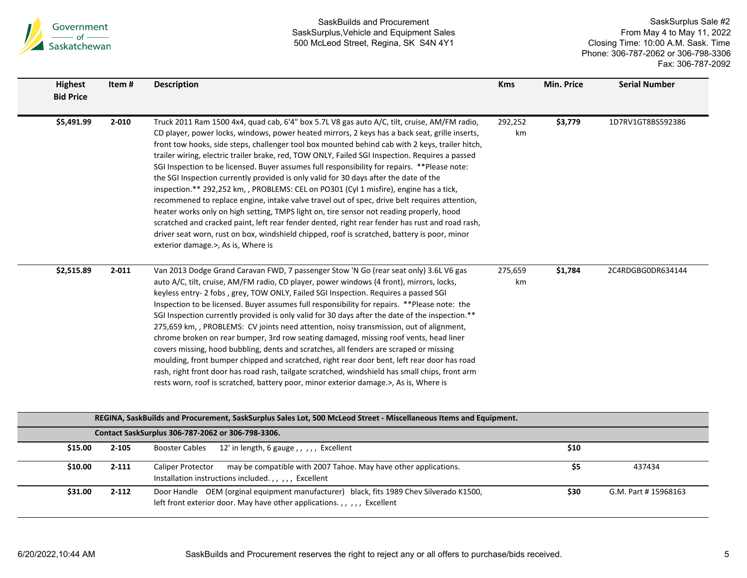

| <b>Highest</b><br><b>Bid Price</b> | Item#     | <b>Description</b>                                                                                                                                                                                                                                                                                                                                                                                                                                                                                                                                                                                                                                                                                                                                                                                                                                                                                                                                                                                                                                                                                                            | <b>Kms</b>    | <b>Min. Price</b> | <b>Serial Number</b> |
|------------------------------------|-----------|-------------------------------------------------------------------------------------------------------------------------------------------------------------------------------------------------------------------------------------------------------------------------------------------------------------------------------------------------------------------------------------------------------------------------------------------------------------------------------------------------------------------------------------------------------------------------------------------------------------------------------------------------------------------------------------------------------------------------------------------------------------------------------------------------------------------------------------------------------------------------------------------------------------------------------------------------------------------------------------------------------------------------------------------------------------------------------------------------------------------------------|---------------|-------------------|----------------------|
| \$5,491.99                         | $2 - 010$ | Truck 2011 Ram 1500 4x4, quad cab, 6'4" box 5.7L V8 gas auto A/C, tilt, cruise, AM/FM radio,<br>CD player, power locks, windows, power heated mirrors, 2 keys has a back seat, grille inserts,<br>front tow hooks, side steps, challenger tool box mounted behind cab with 2 keys, trailer hitch,<br>trailer wiring, electric trailer brake, red, TOW ONLY, Failed SGI Inspection. Requires a passed<br>SGI Inspection to be licensed. Buyer assumes full responsibility for repairs. **Please note:<br>the SGI Inspection currently provided is only valid for 30 days after the date of the<br>inspection.** 292,252 km, , PROBLEMS: CEL on PO301 (Cyl 1 misfire), engine has a tick,<br>recommened to replace engine, intake valve travel out of spec, drive belt requires attention,<br>heater works only on high setting, TMPS light on, tire sensor not reading properly, hood<br>scratched and cracked paint, left rear fender dented, right rear fender has rust and road rash,<br>driver seat worn, rust on box, windshield chipped, roof is scratched, battery is poor, minor<br>exterior damage.>, As is, Where is | 292,252<br>km | \$3,779           | 1D7RV1GT8BS592386    |
| \$2,515.89                         | $2 - 011$ | Van 2013 Dodge Grand Caravan FWD, 7 passenger Stow 'N Go (rear seat only) 3.6L V6 gas<br>auto A/C, tilt, cruise, AM/FM radio, CD player, power windows (4 front), mirrors, locks,<br>keyless entry- 2 fobs, grey, TOW ONLY, Failed SGI Inspection. Requires a passed SGI<br>Inspection to be licensed. Buyer assumes full responsibility for repairs. **Please note: the<br>SGI Inspection currently provided is only valid for 30 days after the date of the inspection.**<br>275,659 km, , PROBLEMS: CV joints need attention, noisy transmission, out of alignment,<br>chrome broken on rear bumper, 3rd row seating damaged, missing roof vents, head liner<br>covers missing, hood bubbling, dents and scratches, all fenders are scraped or missing<br>moulding, front bumper chipped and scratched, right rear door bent, left rear door has road<br>rash, right front door has road rash, tailgate scratched, windshield has small chips, front arm<br>rests worn, roof is scratched, battery poor, minor exterior damage.>, As is, Where is                                                                          | 275,659<br>km | \$1,784           | 2C4RDGBG0DR634144    |

|         | REGINA, SaskBuilds and Procurement, SaskSurplus Sales Lot, 500 McLeod Street - Miscellaneous Items and Equipment. |                                                                                                                                                                       |      |                     |  |  |  |  |
|---------|-------------------------------------------------------------------------------------------------------------------|-----------------------------------------------------------------------------------------------------------------------------------------------------------------------|------|---------------------|--|--|--|--|
|         | Contact SaskSurplus 306-787-2062 or 306-798-3306.                                                                 |                                                                                                                                                                       |      |                     |  |  |  |  |
| \$15.00 | 2-105                                                                                                             | 12' in length, 6 gauge,,,,,, Excellent<br>Booster Cables                                                                                                              | \$10 |                     |  |  |  |  |
| \$10.00 | $2 - 111$                                                                                                         | may be compatible with 2007 Tahoe. May have other applications.<br><b>Caliper Protector</b><br>Installation instructions included.,,,,, Excellent                     | \$5  | 437434              |  |  |  |  |
| \$31.00 | $2 - 112$                                                                                                         | Door Handle OEM (orginal equipment manufacturer) black, fits 1989 Chev Silverado K1500,<br>left front exterior door. May have other applications. , , , , , Excellent | \$30 | G.M. Part #15968163 |  |  |  |  |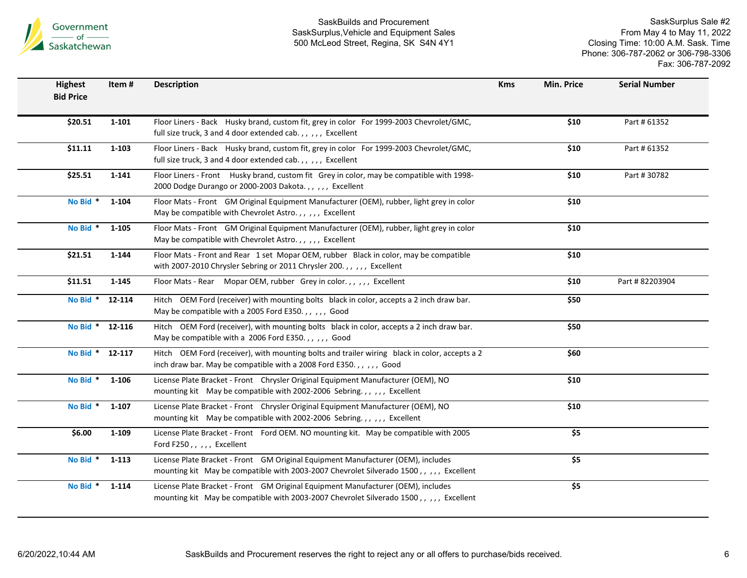

| <b>Highest</b><br><b>Bid Price</b> | Item#     | <b>Description</b>                                                                                                                                                         | <b>Kms</b> | Min. Price | <b>Serial Number</b> |
|------------------------------------|-----------|----------------------------------------------------------------------------------------------------------------------------------------------------------------------------|------------|------------|----------------------|
| \$20.51                            | $1 - 101$ | Floor Liners - Back Husky brand, custom fit, grey in color For 1999-2003 Chevrolet/GMC,<br>full size truck, 3 and 4 door extended cab.,,,,, Excellent                      |            | \$10       | Part # 61352         |
| \$11.11                            | $1 - 103$ | Floor Liners - Back Husky brand, custom fit, grey in color For 1999-2003 Chevrolet/GMC,<br>full size truck, 3 and 4 door extended cab.,,,,, Excellent                      |            | \$10       | Part # 61352         |
| \$25.51                            | $1 - 141$ | Floor Liners - Front Husky brand, custom fit Grey in color, may be compatible with 1998-<br>2000 Dodge Durango or 2000-2003 Dakota.,,,,, Excellent                         |            | \$10       | Part #30782          |
| No Bid *                           | $1 - 104$ | Floor Mats - Front GM Original Equipment Manufacturer (OEM), rubber, light grey in color<br>May be compatible with Chevrolet Astro.,,,,, Excellent                         |            | \$10       |                      |
| No Bid *                           | $1 - 105$ | Floor Mats - Front GM Original Equipment Manufacturer (OEM), rubber, light grey in color<br>May be compatible with Chevrolet Astro.,,,,, Excellent                         |            | \$10       |                      |
| \$21.51                            | $1 - 144$ | Floor Mats - Front and Rear 1 set Mopar OEM, rubber Black in color, may be compatible<br>with 2007-2010 Chrysler Sebring or 2011 Chrysler 200.,,,,, Excellent              |            | \$10       |                      |
| \$11.51                            | 1-145     | Floor Mats - Rear Mopar OEM, rubber Grey in color.,,,,, Excellent                                                                                                          |            | \$10       | Part #82203904       |
| No Bid *                           | 12-114    | Hitch OEM Ford (receiver) with mounting bolts black in color, accepts a 2 inch draw bar.<br>May be compatible with a 2005 Ford E350.,,,,, Good                             |            | \$50       |                      |
| No Bid * 12-116                    |           | Hitch OEM Ford (receiver), with mounting bolts black in color, accepts a 2 inch draw bar.<br>May be compatible with a 2006 Ford E350.,,,,, Good                            |            | \$50       |                      |
| No Bid * 12-117                    |           | Hitch OEM Ford (receiver), with mounting bolts and trailer wiring black in color, accepts a 2<br>inch draw bar. May be compatible with a 2008 Ford E350.,,,,, Good         |            | \$60       |                      |
| No Bid *                           | 1-106     | License Plate Bracket - Front Chrysler Original Equipment Manufacturer (OEM), NO<br>mounting kit May be compatible with 2002-2006 Sebring.,,,,, Excellent                  |            | \$10       |                      |
| No Bid *                           | $1 - 107$ | License Plate Bracket - Front Chrysler Original Equipment Manufacturer (OEM), NO<br>mounting kit May be compatible with 2002-2006 Sebring.,,,,, Excellent                  |            | \$10       |                      |
| \$6.00                             | $1 - 109$ | License Plate Bracket - Front Ford OEM. NO mounting kit. May be compatible with 2005<br>Ford F250,,,,, Excellent                                                           |            | \$5        |                      |
| No Bid *                           | 1-113     | License Plate Bracket - Front GM Original Equipment Manufacturer (OEM), includes<br>mounting kit May be compatible with 2003-2007 Chevrolet Silverado 1500,,,,, Excellent  |            | \$5        |                      |
| No Bid *                           | 1-114     | License Plate Bracket - Front GM Original Equipment Manufacturer (OEM), includes<br>mounting kit May be compatible with 2003-2007 Chevrolet Silverado 1500,,,,,, Excellent |            | \$5        |                      |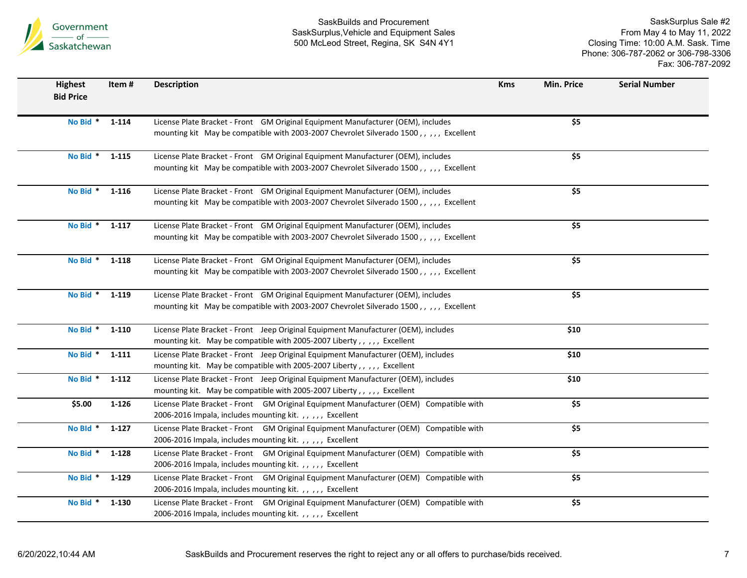

| <b>Highest</b><br><b>Bid Price</b> | Item#          | <b>Description</b>                                                                                                                                                        | <b>Kms</b> | Min. Price                | <b>Serial Number</b> |
|------------------------------------|----------------|---------------------------------------------------------------------------------------------------------------------------------------------------------------------------|------------|---------------------------|----------------------|
| No Bid *                           | $1 - 114$      | License Plate Bracket - Front GM Original Equipment Manufacturer (OEM), includes<br>mounting kit May be compatible with 2003-2007 Chevrolet Silverado 1500,,,,, Excellent |            | $\overline{\overline{5}}$ |                      |
| No Bid * 1-115                     |                | License Plate Bracket - Front GM Original Equipment Manufacturer (OEM), includes<br>mounting kit May be compatible with 2003-2007 Chevrolet Silverado 1500,,,,, Excellent |            | \$5                       |                      |
| No Bid *                           | 1-116          | License Plate Bracket - Front GM Original Equipment Manufacturer (OEM), includes<br>mounting kit May be compatible with 2003-2007 Chevrolet Silverado 1500,,,,, Excellent |            | \$5                       |                      |
|                                    | No Bid * 1-117 | License Plate Bracket - Front GM Original Equipment Manufacturer (OEM), includes<br>mounting kit May be compatible with 2003-2007 Chevrolet Silverado 1500,,,,, Excellent |            | \$5                       |                      |
| No Bid *                           | 1-118          | License Plate Bracket - Front GM Original Equipment Manufacturer (OEM), includes<br>mounting kit May be compatible with 2003-2007 Chevrolet Silverado 1500,,,,, Excellent |            | \$5                       |                      |
|                                    | No Bid * 1-119 | License Plate Bracket - Front GM Original Equipment Manufacturer (OEM), includes<br>mounting kit May be compatible with 2003-2007 Chevrolet Silverado 1500,,,,, Excellent |            | \$5                       |                      |
| No Bid *                           | 1-110          | License Plate Bracket - Front Jeep Original Equipment Manufacturer (OEM), includes<br>mounting kit. May be compatible with 2005-2007 Liberty,,,,, Excellent               |            | \$10                      |                      |
| No Bid *                           | $1 - 111$      | License Plate Bracket - Front Jeep Original Equipment Manufacturer (OEM), includes<br>mounting kit. May be compatible with 2005-2007 Liberty,,,,, Excellent               |            | \$10                      |                      |
| No Bid *                           | 1-112          | License Plate Bracket - Front Jeep Original Equipment Manufacturer (OEM), includes<br>mounting kit. May be compatible with 2005-2007 Liberty,,,,, Excellent               |            | \$10                      |                      |
| \$5.00                             | $1 - 126$      | License Plate Bracket - Front GM Original Equipment Manufacturer (OEM) Compatible with<br>2006-2016 Impala, includes mounting kit.,,,,, Excellent                         |            | \$5                       |                      |
| No Bld <sup>*</sup>                | $1 - 127$      | License Plate Bracket - Front GM Original Equipment Manufacturer (OEM) Compatible with<br>2006-2016 Impala, includes mounting kit.,,,,, Excellent                         |            | \$5                       |                      |
| No Bid *                           | $1 - 128$      | License Plate Bracket - Front GM Original Equipment Manufacturer (OEM) Compatible with<br>2006-2016 Impala, includes mounting kit.,,,,, Excellent                         |            | \$5                       |                      |
| No Bid *                           | 1-129          | License Plate Bracket - Front GM Original Equipment Manufacturer (OEM) Compatible with<br>2006-2016 Impala, includes mounting kit.,,,,, Excellent                         |            | \$5                       |                      |
| No Bid *                           | 1-130          | License Plate Bracket - Front GM Original Equipment Manufacturer (OEM) Compatible with<br>2006-2016 Impala, includes mounting kit.,,,,, Excellent                         |            | \$5                       |                      |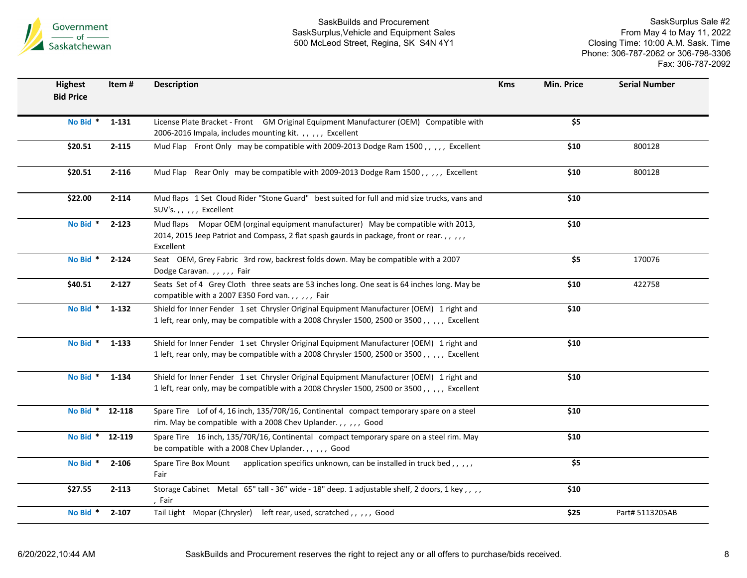

| <b>Highest</b><br><b>Bid Price</b> | Item#     | <b>Description</b>                                                                                                                                                                         | <b>Kms</b> | <b>Min. Price</b> | <b>Serial Number</b> |
|------------------------------------|-----------|--------------------------------------------------------------------------------------------------------------------------------------------------------------------------------------------|------------|-------------------|----------------------|
| No Bid *                           | 1-131     | License Plate Bracket - Front GM Original Equipment Manufacturer (OEM) Compatible with<br>2006-2016 Impala, includes mounting kit.,,,,, Excellent                                          |            | $\overline{\$5}$  |                      |
| \$20.51                            | $2 - 115$ | Mud Flap Front Only may be compatible with 2009-2013 Dodge Ram 1500,,,,, Excellent                                                                                                         |            | \$10              | 800128               |
| \$20.51                            | $2 - 116$ | Mud Flap Rear Only may be compatible with 2009-2013 Dodge Ram 1500,,,,, Excellent                                                                                                          |            | \$10              | 800128               |
| \$22.00                            | $2 - 114$ | Mud flaps 1 Set Cloud Rider "Stone Guard" best suited for full and mid size trucks, vans and<br>SUV's.,,,,, Excellent                                                                      |            | \$10              |                      |
| No Bid *                           | $2 - 123$ | Mud flaps Mopar OEM (orginal equipment manufacturer) May be compatible with 2013,<br>2014, 2015 Jeep Patriot and Compass, 2 flat spash gaurds in package, front or rear.,,,,,<br>Excellent |            | \$10              |                      |
| No Bid *                           | $2 - 124$ | Seat OEM, Grey Fabric 3rd row, backrest folds down. May be compatible with a 2007<br>Dodge Caravan.,,,,,Fair                                                                               |            | \$5               | 170076               |
| \$40.51                            | $2 - 127$ | Seats Set of 4 Grey Cloth three seats are 53 inches long. One seat is 64 inches long. May be<br>compatible with a 2007 E350 Ford van.,,,,, Fair                                            |            | \$10              | 422758               |
| No Bid *                           | $1 - 132$ | Shield for Inner Fender 1 set Chrysler Original Equipment Manufacturer (OEM) 1 right and<br>1 left, rear only, may be compatible with a 2008 Chrysler 1500, 2500 or 3500,,,,, Excellent    |            | \$10              |                      |
| No Bid * 1-133                     |           | Shield for Inner Fender 1 set Chrysler Original Equipment Manufacturer (OEM) 1 right and<br>1 left, rear only, may be compatible with a 2008 Chrysler 1500, 2500 or 3500,,,,, Excellent    |            | \$10              |                      |
| No Bid *                           | 1-134     | Shield for Inner Fender 1 set Chrysler Original Equipment Manufacturer (OEM) 1 right and<br>1 left, rear only, may be compatible with a 2008 Chrysler 1500, 2500 or 3500,,,,, Excellent    |            | \$10              |                      |
| No Bid * 12-118                    |           | Spare Tire Lof of 4, 16 inch, 135/70R/16, Continental compact temporary spare on a steel<br>rim. May be compatible with a 2008 Chev Uplander.,,,,, Good                                    |            | \$10              |                      |
| No Bid * 12-119                    |           | Spare Tire 16 inch, 135/70R/16, Continental compact temporary spare on a steel rim. May<br>be compatible with a 2008 Chev Uplander.,,,,,Good                                               |            | \$10              |                      |
| No Bid *                           | $2 - 106$ | Spare Tire Box Mount application specifics unknown, can be installed in truck bed,,,,,<br>Fair                                                                                             |            | \$5               |                      |
| \$27.55                            | $2 - 113$ | Storage Cabinet Metal 65" tall - 36" wide - 18" deep. 1 adjustable shelf, 2 doors, 1 key,,,,<br>, Fair                                                                                     |            | \$10              |                      |
| No Bid * 2-107                     |           | Tail Light Mopar (Chrysler) left rear, used, scratched,,,,,, Good                                                                                                                          |            | \$25              | Part# 5113205AB      |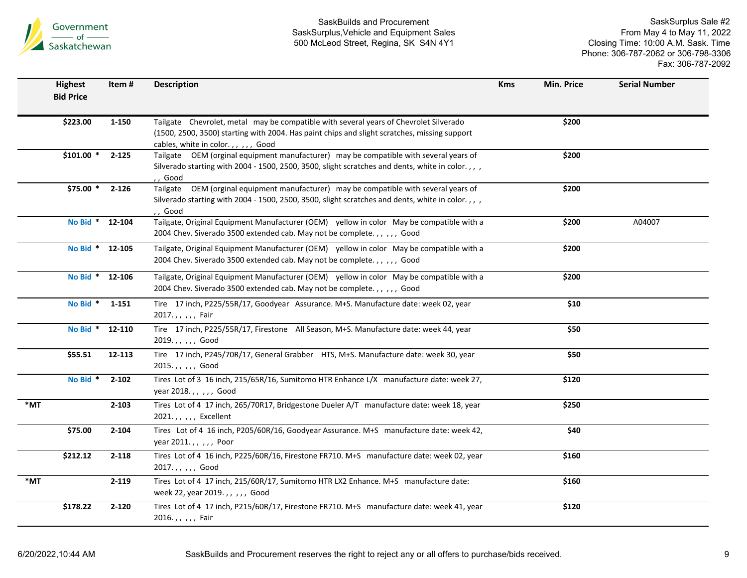

|        | <b>Highest</b><br><b>Bid Price</b> | Item#     | <b>Description</b>                                                                                                                                                                        | <b>Kms</b> | Min. Price | <b>Serial Number</b> |
|--------|------------------------------------|-----------|-------------------------------------------------------------------------------------------------------------------------------------------------------------------------------------------|------------|------------|----------------------|
|        |                                    |           |                                                                                                                                                                                           |            |            |                      |
|        | \$223.00                           | 1-150     | Tailgate Chevrolet, metal may be compatible with several years of Chevrolet Silverado                                                                                                     |            | \$200      |                      |
|        |                                    |           | (1500, 2500, 3500) starting with 2004. Has paint chips and slight scratches, missing support                                                                                              |            |            |                      |
|        | $$101.00$ *                        | $2 - 125$ | cables, white in color.,,,,, Good<br>Tailgate OEM (orginal equipment manufacturer) may be compatible with several years of                                                                |            | \$200      |                      |
|        |                                    |           | Silverado starting with 2004 - 1500, 2500, 3500, slight scratches and dents, white in color.,,,                                                                                           |            |            |                      |
|        |                                    |           | ,, Good                                                                                                                                                                                   |            |            |                      |
|        | \$75.00 *                          | 2-126     | Tailgate  OEM (orginal equipment manufacturer)  may be compatible with several years of<br>Silverado starting with 2004 - 1500, 2500, 3500, slight scratches and dents, white in color.,, |            | \$200      |                      |
|        |                                    |           | , , Good                                                                                                                                                                                  |            |            |                      |
|        | No Bid * 12-104                    |           | Tailgate, Original Equipment Manufacturer (OEM) yellow in color May be compatible with a                                                                                                  |            | \$200      | A04007               |
|        |                                    |           | 2004 Chev. Siverado 3500 extended cab. May not be complete.,,,,,, Good                                                                                                                    |            |            |                      |
|        | No Bid * 12-105                    |           | Tailgate, Original Equipment Manufacturer (OEM) yellow in color May be compatible with a                                                                                                  |            | \$200      |                      |
|        |                                    |           | 2004 Chev. Siverado 3500 extended cab. May not be complete.,,,,,, Good                                                                                                                    |            |            |                      |
|        | No Bid *                           | 12-106    | Tailgate, Original Equipment Manufacturer (OEM) yellow in color May be compatible with a                                                                                                  |            | \$200      |                      |
|        |                                    |           | 2004 Chev. Siverado 3500 extended cab. May not be complete.,,,,,, Good                                                                                                                    |            |            |                      |
|        | No Bid *                           | $1 - 151$ | Tire 17 inch, P225/55R/17, Goodyear Assurance. M+S. Manufacture date: week 02, year                                                                                                       |            | \$10       |                      |
|        |                                    |           | 2017.,,,,, Fair                                                                                                                                                                           |            |            |                      |
|        | No Bid *                           | 12-110    | Tire 17 inch, P225/55R/17, Firestone All Season, M+S. Manufacture date: week 44, year<br>2019.,,,,, Good                                                                                  |            | \$50       |                      |
|        | \$55.51                            | 12-113    | Tire 17 inch, P245/70R/17, General Grabber HTS, M+S. Manufacture date: week 30, year                                                                                                      |            | \$50       |                      |
|        |                                    |           | 2015.,,,,, Good                                                                                                                                                                           |            |            |                      |
|        | No Bid *                           | $2 - 102$ | Tires Lot of 3 16 inch, 215/65R/16, Sumitomo HTR Enhance L/X manufacture date: week 27,                                                                                                   |            | \$120      |                      |
|        |                                    |           | year 2018.,,,,,Good                                                                                                                                                                       |            |            |                      |
| *MT    |                                    | $2 - 103$ | Tires Lot of 4 17 inch, 265/70R17, Bridgestone Dueler A/T manufacture date: week 18, year                                                                                                 |            | \$250      |                      |
|        |                                    |           | 2021.,,,,, Excellent                                                                                                                                                                      |            |            |                      |
|        | \$75.00                            | $2 - 104$ | Tires Lot of 4 16 inch, P205/60R/16, Goodyear Assurance. M+S manufacture date: week 42,                                                                                                   |            | \$40       |                      |
|        |                                    |           | year 2011.,,,,, Poor                                                                                                                                                                      |            |            |                      |
|        | \$212.12                           | $2 - 118$ | Tires Lot of 4 16 inch, P225/60R/16, Firestone FR710. M+S manufacture date: week 02, year<br>2017.,,,,, Good                                                                              |            | \$160      |                      |
| $*$ MT |                                    | $2 - 119$ | Tires Lot of 4 17 inch, 215/60R/17, Sumitomo HTR LX2 Enhance. M+S manufacture date:                                                                                                       |            | \$160      |                      |
|        |                                    |           | week 22, year 2019.,,,,, Good                                                                                                                                                             |            |            |                      |
|        | \$178.22                           | $2 - 120$ | Tires Lot of 4 17 inch, P215/60R/17, Firestone FR710. M+S manufacture date: week 41, year                                                                                                 |            | \$120      |                      |
|        |                                    |           | 2016.,,,,, Fair                                                                                                                                                                           |            |            |                      |
|        |                                    |           |                                                                                                                                                                                           |            |            |                      |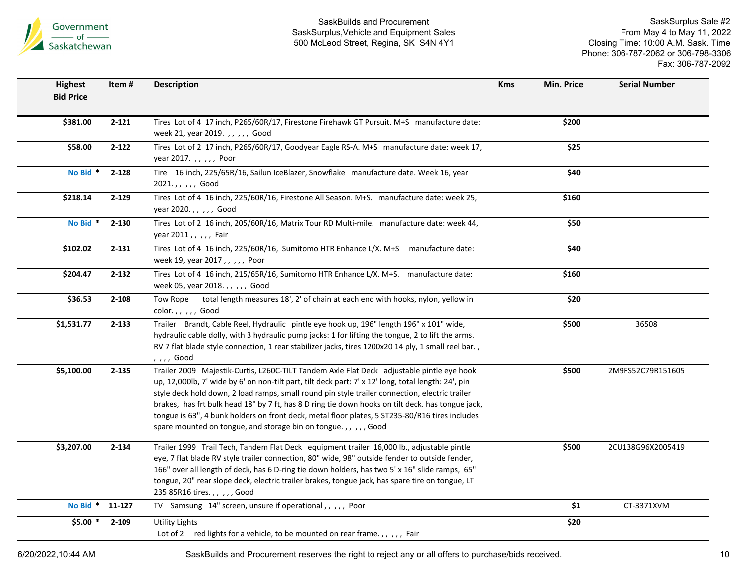

SaskSurplus Sale #2 From May 4 to May 11, 2022 Closing Time: 10:00 A.M. Sask. Time Phone: 306-787-2062 or 306-798-3306 Fax: 306-787-2092

| <b>Highest</b><br><b>Bid Price</b> | Item #    | <b>Description</b>                                                                                                                                                                                                                                                                                                                                                                                                                                                                                                                                                        | <b>Kms</b> | Min. Price | <b>Serial Number</b> |
|------------------------------------|-----------|---------------------------------------------------------------------------------------------------------------------------------------------------------------------------------------------------------------------------------------------------------------------------------------------------------------------------------------------------------------------------------------------------------------------------------------------------------------------------------------------------------------------------------------------------------------------------|------------|------------|----------------------|
|                                    |           |                                                                                                                                                                                                                                                                                                                                                                                                                                                                                                                                                                           |            |            |                      |
| \$381.00                           | $2 - 121$ | Tires Lot of 4 17 inch, P265/60R/17, Firestone Firehawk GT Pursuit. M+S manufacture date:<br>week 21, year 2019.,,,,,, Good                                                                                                                                                                                                                                                                                                                                                                                                                                               |            | \$200      |                      |
| \$58.00                            | $2 - 122$ | Tires Lot of 2 17 inch, P265/60R/17, Goodyear Eagle RS-A. M+S manufacture date: week 17,<br>year 2017. , , , , , Poor                                                                                                                                                                                                                                                                                                                                                                                                                                                     |            | \$25       |                      |
| No Bid *                           | $2 - 128$ | Tire 16 inch, 225/65R/16, Sailun IceBlazer, Snowflake manufacture date. Week 16, year<br>2021.,,,,, Good                                                                                                                                                                                                                                                                                                                                                                                                                                                                  |            | \$40       |                      |
| \$218.14                           | $2 - 129$ | Tires Lot of 4 16 inch, 225/60R/16, Firestone All Season. M+S. manufacture date: week 25,<br>year 2020.,,,,, Good                                                                                                                                                                                                                                                                                                                                                                                                                                                         |            | \$160      |                      |
| No Bid *                           | $2 - 130$ | Tires Lot of 2 16 inch, 205/60R/16, Matrix Tour RD Multi-mile. manufacture date: week 44,<br>year 2011,,,,,Fair                                                                                                                                                                                                                                                                                                                                                                                                                                                           |            | \$50       |                      |
| \$102.02                           | $2 - 131$ | Tires Lot of 4 16 inch, 225/60R/16, Sumitomo HTR Enhance L/X. M+S manufacture date:<br>week 19, year 2017,,,,,, Poor                                                                                                                                                                                                                                                                                                                                                                                                                                                      |            | \$40       |                      |
| \$204.47                           | $2 - 132$ | Tires Lot of 4 16 inch, 215/65R/16, Sumitomo HTR Enhance L/X. M+S. manufacture date:<br>week 05, year 2018.,,,,,, Good                                                                                                                                                                                                                                                                                                                                                                                                                                                    |            | \$160      |                      |
| \$36.53                            | 2-108     | total length measures 18', 2' of chain at each end with hooks, nylon, yellow in<br>Tow Rope<br>color.,,,,, Good                                                                                                                                                                                                                                                                                                                                                                                                                                                           |            | \$20       |                      |
| \$1,531.77                         | $2 - 133$ | Trailer Brandt, Cable Reel, Hydraulic pintle eye hook up, 196" length 196" x 101" wide,<br>hydraulic cable dolly, with 3 hydraulic pump jacks: 1 for lifting the tongue, 2 to lift the arms.<br>RV 7 flat blade style connection, 1 rear stabilizer jacks, tires 1200x20 14 ply, 1 small reel bar.,<br>, , , , Good                                                                                                                                                                                                                                                       |            | \$500      | 36508                |
| \$5,100.00                         | $2 - 135$ | Trailer 2009 Majestik-Curtis, L260C-TILT Tandem Axle Flat Deck adjustable pintle eye hook<br>up, 12,000lb, 7' wide by 6' on non-tilt part, tilt deck part: 7' x 12' long, total length: 24', pin<br>style deck hold down, 2 load ramps, small round pin style trailer connection, electric trailer<br>brakes, has frt bulk head 18" by 7 ft, has 8 D ring tie down hooks on tilt deck. has tongue jack,<br>tongue is 63", 4 bunk holders on front deck, metal floor plates, 5 ST235-80/R16 tires includes<br>spare mounted on tongue, and storage bin on tongue.,,,,,Good |            | \$500      | 2M9FS52C79R151605    |
| \$3,207.00                         | $2 - 134$ | Trailer 1999 Trail Tech, Tandem Flat Deck equipment trailer 16,000 lb., adjustable pintle<br>eye, 7 flat blade RV style trailer connection, 80" wide, 98" outside fender to outside fender,<br>166" over all length of deck, has 6 D-ring tie down holders, has two 5' x 16" slide ramps, 65"<br>tongue, 20" rear slope deck, electric trailer brakes, tongue jack, has spare tire on tongue, LT<br>235 85R16 tires.,,,,,Good                                                                                                                                             |            | \$500      | 2CU138G96X2005419    |
| No Bid * 11-127                    |           | TV Samsung 14" screen, unsure if operational,,,,, Poor                                                                                                                                                                                                                                                                                                                                                                                                                                                                                                                    |            | \$1        | CT-3371XVM           |
| $$5.00*$                           | $2 - 109$ | Utility Lights<br>Lot of 2 red lights for a vehicle, to be mounted on rear frame.,,,,, Fair                                                                                                                                                                                                                                                                                                                                                                                                                                                                               |            | \$20       |                      |

6/20/2022,10:44 AM SaskBuilds and Procurement reserves the right to reject any or all offers to purchase/bids received. 10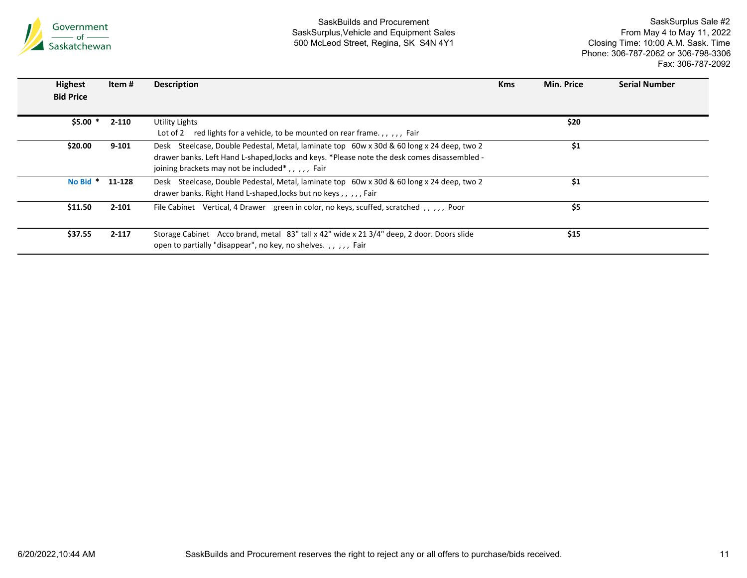

| <b>Highest</b><br><b>Bid Price</b> | Item #    | <b>Description</b>                                                                                                                                                                                                                                       | <b>Kms</b> | Min. Price | <b>Serial Number</b> |
|------------------------------------|-----------|----------------------------------------------------------------------------------------------------------------------------------------------------------------------------------------------------------------------------------------------------------|------------|------------|----------------------|
| $$5.00*$                           | 2-110     | Utility Lights<br>red lights for a vehicle, to be mounted on rear frame.,,,,, Fair<br>Lot of 2                                                                                                                                                           |            | \$20       |                      |
| \$20.00                            | 9-101     | Desk Steelcase, Double Pedestal, Metal, laminate top 60w x 30d & 60 long x 24 deep, two 2<br>drawer banks. Left Hand L-shaped, locks and keys. *Please note the desk comes disassembled -<br>joining brackets may not be included <sup>*</sup> ,,,,,Fair |            | \$1        |                      |
| No Bid *                           | 11-128    | Desk Steelcase, Double Pedestal, Metal, laminate top 60w x 30d & 60 long x 24 deep, two 2<br>drawer banks. Right Hand L-shaped, locks but no keys,,,,,Fair                                                                                               |            | \$1        |                      |
| \$11.50                            | $2 - 101$ | File Cabinet Vertical, 4 Drawer green in color, no keys, scuffed, scratched, ,,,,, Poor                                                                                                                                                                  |            | \$5        |                      |
| \$37.55                            | $2 - 117$ | Storage Cabinet Acco brand, metal 83" tall x 42" wide x 21 3/4" deep, 2 door. Doors slide<br>open to partially "disappear", no key, no shelves.,,,,, Fair                                                                                                |            | \$15       |                      |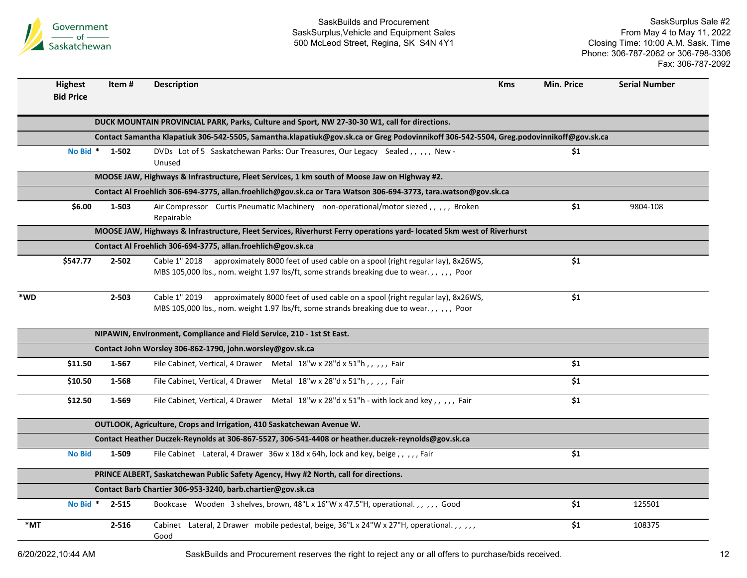

SaskSurplus Sale #2 From May 4 to May 11, 2022 Closing Time: 10:00 A.M. Sask. Time Phone: 306-787-2062 or 306-798-3306 Fax: 306-787-2092

|                   | <b>Highest</b>                                                                                                                         | Item #         | <b>Description</b>                                                                                                     | <b>Kms</b> | Min. Price | <b>Serial Number</b> |  |  |  |  |
|-------------------|----------------------------------------------------------------------------------------------------------------------------------------|----------------|------------------------------------------------------------------------------------------------------------------------|------------|------------|----------------------|--|--|--|--|
|                   | <b>Bid Price</b>                                                                                                                       |                |                                                                                                                        |            |            |                      |  |  |  |  |
|                   |                                                                                                                                        |                |                                                                                                                        |            |            |                      |  |  |  |  |
|                   |                                                                                                                                        |                | DUCK MOUNTAIN PROVINCIAL PARK, Parks, Culture and Sport, NW 27-30-30 W1, call for directions.                          |            |            |                      |  |  |  |  |
|                   | Contact Samantha Klapatiuk 306-542-5505, Samantha.klapatiuk@gov.sk.ca or Greg Podovinnikoff 306-542-5504, Greg.podovinnikoff@gov.sk.ca |                |                                                                                                                        |            |            |                      |  |  |  |  |
|                   |                                                                                                                                        | No Bid * 1-502 | DVDs Lot of 5 Saskatchewan Parks: Our Treasures, Our Legacy Sealed,,,,, New-                                           |            | \$1        |                      |  |  |  |  |
|                   |                                                                                                                                        |                | Unused                                                                                                                 |            |            |                      |  |  |  |  |
|                   | MOOSE JAW, Highways & Infrastructure, Fleet Services, 1 km south of Moose Jaw on Highway #2.                                           |                |                                                                                                                        |            |            |                      |  |  |  |  |
|                   | Contact Al Froehlich 306-694-3775, allan.froehlich@gov.sk.ca or Tara Watson 306-694-3773, tara.watson@gov.sk.ca                        |                |                                                                                                                        |            |            |                      |  |  |  |  |
|                   | \$6.00                                                                                                                                 | 1-503          | Air Compressor Curtis Pneumatic Machinery non-operational/motor siezed,,,,,,Broken<br>Repairable                       |            | \$1        | 9804-108             |  |  |  |  |
|                   |                                                                                                                                        |                | MOOSE JAW, Highways & Infrastructure, Fleet Services, Riverhurst Ferry operations yard- located 5km west of Riverhurst |            |            |                      |  |  |  |  |
|                   |                                                                                                                                        |                | Contact Al Froehlich 306-694-3775, allan.froehlich@gov.sk.ca                                                           |            |            |                      |  |  |  |  |
|                   | \$547.77                                                                                                                               | $2 - 502$      | Cable 1" 2018 approximately 8000 feet of used cable on a spool (right regular lay), 8x26WS,                            |            | \$1        |                      |  |  |  |  |
|                   |                                                                                                                                        |                | MBS 105,000 lbs., nom. weight 1.97 lbs/ft, some strands breaking due to wear.,,,,, Poor                                |            |            |                      |  |  |  |  |
|                   |                                                                                                                                        |                |                                                                                                                        |            |            |                      |  |  |  |  |
| *WD               |                                                                                                                                        | 2-503          | Cable 1" 2019<br>approximately 8000 feet of used cable on a spool (right regular lay), 8x26WS,                         |            | \$1        |                      |  |  |  |  |
|                   |                                                                                                                                        |                | MBS 105,000 lbs., nom. weight 1.97 lbs/ft, some strands breaking due to wear.,,,,, Poor                                |            |            |                      |  |  |  |  |
|                   |                                                                                                                                        |                | NIPAWIN, Environment, Compliance and Field Service, 210 - 1st St East.                                                 |            |            |                      |  |  |  |  |
|                   |                                                                                                                                        |                | Contact John Worsley 306-862-1790, john.worsley@gov.sk.ca                                                              |            |            |                      |  |  |  |  |
|                   | \$11.50                                                                                                                                | 1-567          | File Cabinet, Vertical, 4 Drawer Metal 18"w x 28"d x 51"h,,,,, Fair                                                    |            | \$1        |                      |  |  |  |  |
|                   |                                                                                                                                        |                |                                                                                                                        |            |            |                      |  |  |  |  |
|                   | \$10.50                                                                                                                                | 1-568          | File Cabinet, Vertical, 4 Drawer Metal 18"w x 28"d x 51"h,,,,, Fair                                                    |            | \$1        |                      |  |  |  |  |
|                   | \$12.50                                                                                                                                | 1-569          | File Cabinet, Vertical, 4 Drawer Metal 18"w x 28"d x 51"h - with lock and key,, ,,, Fair                               |            | \$1        |                      |  |  |  |  |
|                   |                                                                                                                                        |                |                                                                                                                        |            |            |                      |  |  |  |  |
|                   |                                                                                                                                        |                | <b>OUTLOOK, Agriculture, Crops and Irrigation, 410 Saskatchewan Avenue W.</b>                                          |            |            |                      |  |  |  |  |
|                   |                                                                                                                                        |                | Contact Heather Duczek-Reynolds at 306-867-5527, 306-541-4408 or heather.duczek-reynolds@gov.sk.ca                     |            |            |                      |  |  |  |  |
|                   | <b>No Bid</b>                                                                                                                          | 1-509          | File Cabinet Lateral, 4 Drawer 36w x 18d x 64h, lock and key, beige,,,,,,Fair                                          |            | \$1        |                      |  |  |  |  |
|                   |                                                                                                                                        |                | PRINCE ALBERT, Saskatchewan Public Safety Agency, Hwy #2 North, call for directions.                                   |            |            |                      |  |  |  |  |
|                   |                                                                                                                                        |                | Contact Barb Chartier 306-953-3240, barb.chartier@gov.sk.ca                                                            |            |            |                      |  |  |  |  |
|                   | No Bid *                                                                                                                               | $2 - 515$      | Bookcase Wooden 3 shelves, brown, 48"L x 16"W x 47.5"H, operational.,,,,, Good                                         |            | \$1        | 125501               |  |  |  |  |
| $*_{\mathsf{MT}}$ |                                                                                                                                        | $2 - 516$      | Cabinet Lateral, 2 Drawer mobile pedestal, beige, 36"L x 24"W x 27"H, operational.,,,,,                                |            | \$1        | 108375               |  |  |  |  |
|                   |                                                                                                                                        |                | Good                                                                                                                   |            |            |                      |  |  |  |  |

6/20/2022,10:44 AM SaskBuilds and Procurement reserves the right to reject any or all offers to purchase/bids received. 12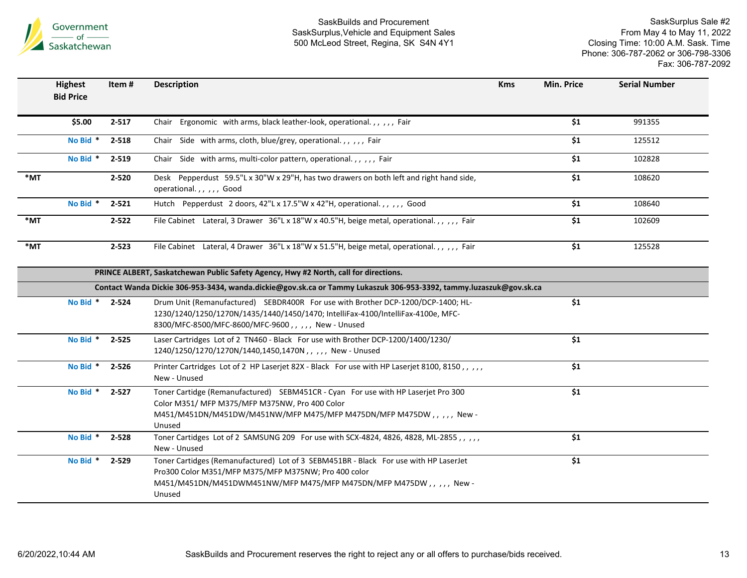

|                   | <b>Highest</b><br><b>Bid Price</b> | Item#     | <b>Description</b>                                                                                                                                                                                                          | <b>Kms</b> | Min. Price       | <b>Serial Number</b> |
|-------------------|------------------------------------|-----------|-----------------------------------------------------------------------------------------------------------------------------------------------------------------------------------------------------------------------------|------------|------------------|----------------------|
|                   | \$5.00                             | $2 - 517$ | Chair Ergonomic with arms, black leather-look, operational.,,,,, Fair                                                                                                                                                       |            | $\overline{\$1}$ | 991355               |
|                   | No Bid *                           | 2-518     | Chair Side with arms, cloth, blue/grey, operational.,,,,, Fair                                                                                                                                                              |            | \$1              | 125512               |
|                   | No Bid *                           | 2-519     | Chair Side with arms, multi-color pattern, operational.,,,,, Fair                                                                                                                                                           |            | \$1              | 102828               |
| *MT               |                                    | $2 - 520$ | Desk Pepperdust 59.5"L x 30"W x 29"H, has two drawers on both left and right hand side,<br>operational.,,,,, Good                                                                                                           |            | \$1              | 108620               |
|                   | No Bid *                           | $2 - 521$ | Hutch Pepperdust 2 doors, 42"L x 17.5"W x 42"H, operational.,,,,, Good                                                                                                                                                      |            | \$1              | 108640               |
| $*_{\mathsf{MT}}$ |                                    | $2 - 522$ | File Cabinet Lateral, 3 Drawer 36"L x 18"W x 40.5"H, beige metal, operational.,,,,,, Fair                                                                                                                                   |            | \$1              | 102609               |
| $*$ MT            |                                    | $2 - 523$ | File Cabinet Lateral, 4 Drawer 36"L x 18"W x 51.5"H, beige metal, operational.,,,,, Fair                                                                                                                                    |            | $\overline{\$1}$ | 125528               |
|                   |                                    |           | PRINCE ALBERT, Saskatchewan Public Safety Agency, Hwy #2 North, call for directions.                                                                                                                                        |            |                  |                      |
|                   |                                    |           | Contact Wanda Dickie 306-953-3434, wanda.dickie@gov.sk.ca or Tammy Lukaszuk 306-953-3392, tammy.luzaszuk@gov.sk.ca                                                                                                          |            |                  |                      |
|                   | No Bid * 2-524                     |           | Drum Unit (Remanufactured) SEBDR400R For use with Brother DCP-1200/DCP-1400; HL-<br>1230/1240/1250/1270N/1435/1440/1450/1470; IntelliFax-4100/IntelliFax-4100e, MFC-<br>8300/MFC-8500/MFC-8600/MFC-9600,,,,, New - Unused   |            | \$1              |                      |
|                   | No Bid * 2-525                     |           | Laser Cartridges Lot of 2 TN460 - Black For use with Brother DCP-1200/1400/1230/<br>1240/1250/1270/1270N/1440,1450,1470N,,,,, New - Unused                                                                                  |            | \$1              |                      |
|                   | No Bid * 2-526                     |           | Printer Cartridges Lot of 2 HP Laserjet 82X - Black For use with HP Laserjet 8100, 8150,,,,,<br>New - Unused                                                                                                                |            | \$1              |                      |
|                   | No Bid *                           | $2 - 527$ | Toner Cartidge (Remanufactured) SEBM451CR - Cyan For use with HP Laserjet Pro 300<br>Color M351/ MFP M375/MFP M375NW, Pro 400 Color<br>M451/M451DN/M451DW/M451NW/MFP M475/MFP M475DN/MFP M475DW,,,,, New-<br>Unused         |            | \$1              |                      |
|                   | No Bid *                           | 2-528     | Toner Cartidges Lot of 2 SAMSUNG 209 For use with SCX-4824, 4826, 4828, ML-2855,,,,,,<br>New - Unused                                                                                                                       |            | \$1              |                      |
|                   | No Bid * 2-529                     |           | Toner Cartidges (Remanufactured) Lot of 3 SEBM451BR - Black For use with HP LaserJet<br>Pro300 Color M351/MFP M375/MFP M375NW; Pro 400 color<br>M451/M451DN/M451DWM451NW/MFP M475/MFP M475DN/MFP M475DW,,,,, New-<br>Unused |            | \$1              |                      |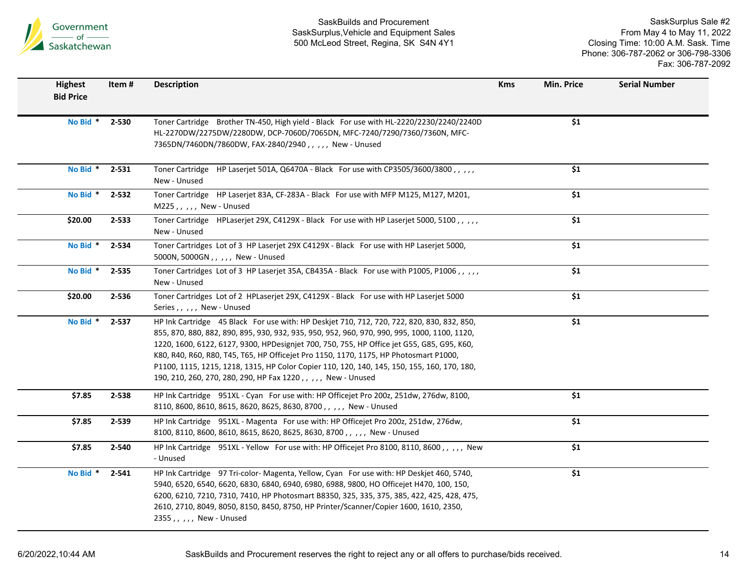

| <b>Highest</b><br><b>Bid Price</b> | Item# | <b>Description</b>                                                                                                                                                                                                                                                                                                                                                                                                                                                                                                                              | <b>Kms</b> | Min. Price             | <b>Serial Number</b> |
|------------------------------------|-------|-------------------------------------------------------------------------------------------------------------------------------------------------------------------------------------------------------------------------------------------------------------------------------------------------------------------------------------------------------------------------------------------------------------------------------------------------------------------------------------------------------------------------------------------------|------------|------------------------|----------------------|
| No Bid *                           | 2-530 | Toner Cartridge Brother TN-450, High yield - Black For use with HL-2220/2230/2240/2240D<br>HL-2270DW/2275DW/2280DW, DCP-7060D/7065DN, MFC-7240/7290/7360/7360N, MFC-<br>7365DN/7460DN/7860DW, FAX-2840/2940,,,,, New - Unused                                                                                                                                                                                                                                                                                                                   |            | $\overline{\$1}$       |                      |
| No Bid * 2-531                     |       | Toner Cartridge HP Laserjet 501A, Q6470A - Black For use with CP3505/3600/3800,,,,,<br>New - Unused                                                                                                                                                                                                                                                                                                                                                                                                                                             |            | \$1                    |                      |
| No Bid *                           | 2-532 | Toner Cartridge HP Laserjet 83A, CF-283A - Black For use with MFP M125, M127, M201,<br>M225,,,,, New - Unused                                                                                                                                                                                                                                                                                                                                                                                                                                   |            | \$1                    |                      |
| \$20.00                            | 2-533 | Toner Cartridge HPLaserjet 29X, C4129X - Black For use with HP Laserjet 5000, 5100,,,,,<br>New - Unused                                                                                                                                                                                                                                                                                                                                                                                                                                         |            | $\overline{\text{S1}}$ |                      |
| No Bid *                           | 2-534 | Toner Cartridges Lot of 3 HP Laserjet 29X C4129X - Black For use with HP Laserjet 5000,<br>5000N, 5000GN,,,,, New - Unused                                                                                                                                                                                                                                                                                                                                                                                                                      |            | \$1                    |                      |
| No Bid *                           | 2-535 | Toner Cartridges Lot of 3 HP Laserjet 35A, CB435A - Black For use with P1005, P1006,,,,,<br>New - Unused                                                                                                                                                                                                                                                                                                                                                                                                                                        |            | \$1                    |                      |
| \$20.00                            | 2-536 | Toner Cartridges Lot of 2 HPLaserjet 29X, C4129X - Black For use with HP Laserjet 5000<br>Series,,,,, New - Unused                                                                                                                                                                                                                                                                                                                                                                                                                              |            | \$1                    |                      |
| No Bid *                           | 2-537 | HP Ink Cartridge 45 Black For use with: HP Deskjet 710, 712, 720, 722, 820, 830, 832, 850,<br>855, 870, 880, 882, 890, 895, 930, 932, 935, 950, 952, 960, 970, 990, 995, 1000, 1100, 1120,<br>1220, 1600, 6122, 6127, 9300, HPDesignjet 700, 750, 755, HP Office jet G55, G85, G95, K60,<br>K80, R40, R60, R80, T45, T65, HP Officejet Pro 1150, 1170, 1175, HP Photosmart P1000,<br>P1100, 1115, 1215, 1218, 1315, HP Color Copier 110, 120, 140, 145, 150, 155, 160, 170, 180,<br>190, 210, 260, 270, 280, 290, HP Fax 1220,,,,, New - Unused |            | \$1                    |                      |
| \$7.85                             | 2-538 | HP Ink Cartridge 951XL - Cyan For use with: HP Officejet Pro 200z, 251dw, 276dw, 8100,<br>8110, 8600, 8610, 8615, 8620, 8625, 8630, 8700,,,,, New - Unused                                                                                                                                                                                                                                                                                                                                                                                      |            | $\overline{\$1}$       |                      |
| \$7.85                             | 2-539 | HP Ink Cartridge 951XL - Magenta For use with: HP Office iet Pro 200z, 251dw, 276dw,<br>8100, 8110, 8600, 8610, 8615, 8620, 8625, 8630, 8700,,,,, New - Unused                                                                                                                                                                                                                                                                                                                                                                                  |            | \$1                    |                      |
| \$7.85                             | 2-540 | HP Ink Cartridge 951XL - Yellow For use with: HP Officejet Pro 8100, 8110, 8600,,,,,, New<br>- Unused                                                                                                                                                                                                                                                                                                                                                                                                                                           |            | \$1                    |                      |
| No Bid *                           | 2-541 | HP Ink Cartridge 97 Tri-color-Magenta, Yellow, Cyan For use with: HP Deskjet 460, 5740,<br>5940, 6520, 6540, 6620, 6830, 6840, 6940, 6980, 6988, 9800, HO Officejet H470, 100, 150,<br>6200, 6210, 7210, 7310, 7410, HP Photosmart B8350, 325, 335, 375, 385, 422, 425, 428, 475,<br>2610, 2710, 8049, 8050, 8150, 8450, 8750, HP Printer/Scanner/Copier 1600, 1610, 2350,<br>2355,,,,, New - Unused                                                                                                                                            |            | \$1                    |                      |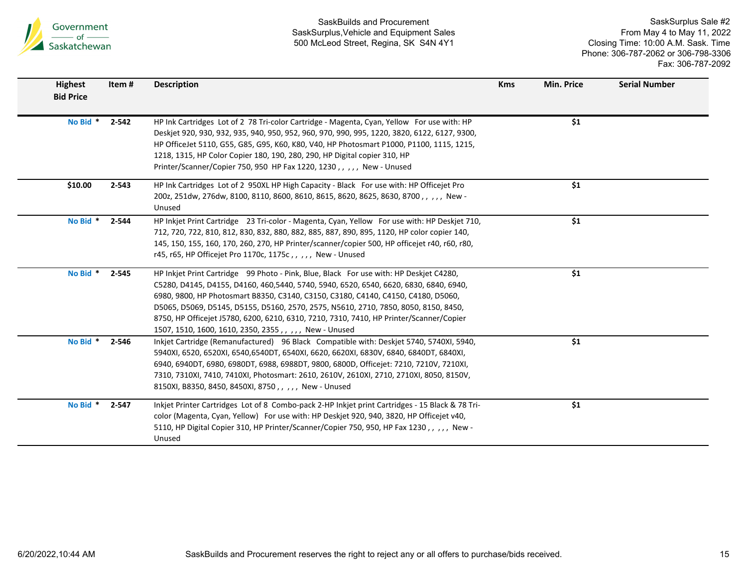

| <b>Highest</b><br><b>Bid Price</b> | Item #    | <b>Description</b>                                                                                                                                                                                                                                                                                                                                                                                                                                                                                                 | <b>Kms</b> | <b>Min. Price</b> | <b>Serial Number</b> |
|------------------------------------|-----------|--------------------------------------------------------------------------------------------------------------------------------------------------------------------------------------------------------------------------------------------------------------------------------------------------------------------------------------------------------------------------------------------------------------------------------------------------------------------------------------------------------------------|------------|-------------------|----------------------|
| No Bid *                           | $2 - 542$ | HP Ink Cartridges Lot of 2 78 Tri-color Cartridge - Magenta, Cyan, Yellow For use with: HP<br>Deskjet 920, 930, 932, 935, 940, 950, 952, 960, 970, 990, 995, 1220, 3820, 6122, 6127, 9300,<br>HP OfficeJet 5110, G55, G85, G95, K60, K80, V40, HP Photosmart P1000, P1100, 1115, 1215,<br>1218, 1315, HP Color Copier 180, 190, 280, 290, HP Digital copier 310, HP<br>Printer/Scanner/Copier 750, 950 HP Fax 1220, 1230,,,,, New - Unused                                                                         |            | \$1               |                      |
| \$10.00                            | $2 - 543$ | HP Ink Cartridges Lot of 2 950XL HP High Capacity - Black For use with: HP Officejet Pro<br>200z, 251dw, 276dw, 8100, 8110, 8600, 8610, 8615, 8620, 8625, 8630, 8700,,,,, New -<br>Unused                                                                                                                                                                                                                                                                                                                          |            | \$1               |                      |
| No Bid *                           | 2-544     | HP Inkjet Print Cartridge 23 Tri-color - Magenta, Cyan, Yellow For use with: HP Deskjet 710,<br>712, 720, 722, 810, 812, 830, 832, 880, 882, 885, 887, 890, 895, 1120, HP color copier 140,<br>145, 150, 155, 160, 170, 260, 270, HP Printer/scanner/copier 500, HP officejet r40, r60, r80,<br>r45, r65, HP Officejet Pro 1170c, 1175c,,,,, New - Unused                                                                                                                                                          |            | \$1               |                      |
| No Bid *                           | 2-545     | HP Inkjet Print Cartridge 99 Photo - Pink, Blue, Black For use with: HP Deskjet C4280,<br>C5280, D4145, D4155, D4160, 460,5440, 5740, 5940, 6520, 6540, 6620, 6830, 6840, 6940,<br>6980, 9800, HP Photosmart B8350, C3140, C3150, C3180, C4140, C4150, C4180, D5060,<br>D5065, D5069, D5145, D5155, D5160, 2570, 2575, N5610, 2710, 7850, 8050, 8150, 8450,<br>8750, HP Officejet J5780, 6200, 6210, 6310, 7210, 7310, 7410, HP Printer/Scanner/Copier<br>1507, 1510, 1600, 1610, 2350, 2355, , , , , New - Unused |            | \$1               |                      |
| No Bid * 2-546                     |           | Inkjet Cartridge (Remanufactured) 96 Black Compatible with: Deskjet 5740, 5740XI, 5940,<br>5940XI, 6520, 6520XI, 6540, 6540DT, 6540XI, 6620, 6620XI, 6830V, 6840, 6840DT, 6840XI,<br>6940, 6940DT, 6980, 6980DT, 6988, 6988DT, 9800, 6800D, Officejet: 7210, 7210V, 7210XI,<br>7310, 7310XI, 7410, 7410XI, Photosmart: 2610, 2610V, 2610XI, 2710, 2710XI, 8050, 8150V,<br>8150XI, B8350, 8450, 8450XI, 8750, , , , , New - Unused                                                                                  |            | \$1               |                      |
| No Bid *                           | $2 - 547$ | Inkjet Printer Cartridges Lot of 8 Combo-pack 2-HP Inkjet print Cartridges - 15 Black & 78 Tri-<br>color (Magenta, Cyan, Yellow) For use with: HP Deskjet 920, 940, 3820, HP Officejet v40,<br>5110, HP Digital Copier 310, HP Printer/Scanner/Copier 750, 950, HP Fax 1230,,,,, New -<br>Unused                                                                                                                                                                                                                   |            | \$1               |                      |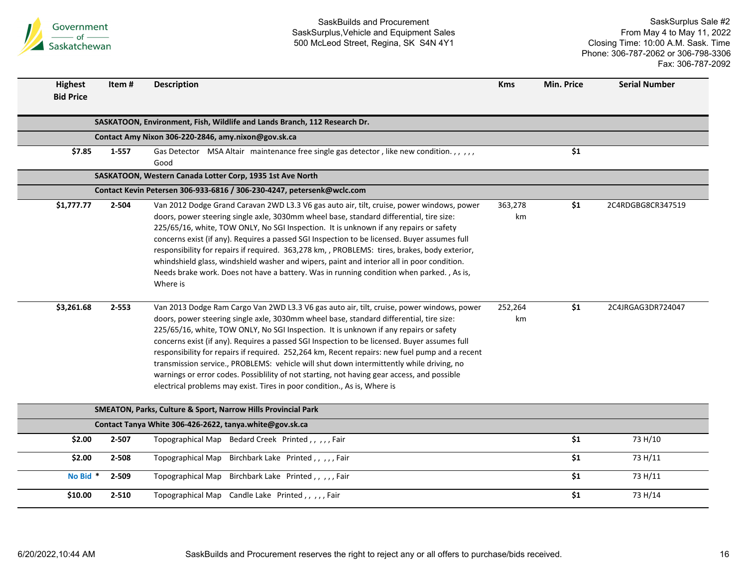

| <b>Highest</b><br><b>Bid Price</b> | Item#     | <b>Description</b>                                                                                                                                                                                                                                                                                                                                                                                                                                                                                                                                                                                                                                                                                                                                     | <b>Kms</b>    | Min. Price       | <b>Serial Number</b> |
|------------------------------------|-----------|--------------------------------------------------------------------------------------------------------------------------------------------------------------------------------------------------------------------------------------------------------------------------------------------------------------------------------------------------------------------------------------------------------------------------------------------------------------------------------------------------------------------------------------------------------------------------------------------------------------------------------------------------------------------------------------------------------------------------------------------------------|---------------|------------------|----------------------|
|                                    |           | SASKATOON, Environment, Fish, Wildlife and Lands Branch, 112 Research Dr.                                                                                                                                                                                                                                                                                                                                                                                                                                                                                                                                                                                                                                                                              |               |                  |                      |
|                                    |           | Contact Amy Nixon 306-220-2846, amy.nixon@gov.sk.ca                                                                                                                                                                                                                                                                                                                                                                                                                                                                                                                                                                                                                                                                                                    |               |                  |                      |
| \$7.85                             | $1 - 557$ | Gas Detector MSA Altair maintenance free single gas detector, like new condition.,,,,,,<br>Good                                                                                                                                                                                                                                                                                                                                                                                                                                                                                                                                                                                                                                                        |               | \$1              |                      |
|                                    |           | SASKATOON, Western Canada Lotter Corp, 1935 1st Ave North                                                                                                                                                                                                                                                                                                                                                                                                                                                                                                                                                                                                                                                                                              |               |                  |                      |
|                                    |           | Contact Kevin Petersen 306-933-6816 / 306-230-4247, petersenk@wclc.com                                                                                                                                                                                                                                                                                                                                                                                                                                                                                                                                                                                                                                                                                 |               |                  |                      |
| \$1,777.77                         | 2-504     | Van 2012 Dodge Grand Caravan 2WD L3.3 V6 gas auto air, tilt, cruise, power windows, power<br>doors, power steering single axle, 3030mm wheel base, standard differential, tire size:<br>225/65/16, white, TOW ONLY, No SGI Inspection. It is unknown if any repairs or safety<br>concerns exist (if any). Requires a passed SGI Inspection to be licensed. Buyer assumes full<br>responsibility for repairs if required. 363,278 km, , PROBLEMS: tires, brakes, body exterior,<br>whindshield glass, windshield washer and wipers, paint and interior all in poor condition.<br>Needs brake work. Does not have a battery. Was in running condition when parked., As is,<br>Where is                                                                   | 363,278<br>km | \$1              | 2C4RDGBG8CR347519    |
| \$3,261.68                         | $2 - 553$ | Van 2013 Dodge Ram Cargo Van 2WD L3.3 V6 gas auto air, tilt, cruise, power windows, power<br>doors, power steering single axle, 3030mm wheel base, standard differential, tire size:<br>225/65/16, white, TOW ONLY, No SGI Inspection. It is unknown if any repairs or safety<br>concerns exist (if any). Requires a passed SGI Inspection to be licensed. Buyer assumes full<br>responsibility for repairs if required. 252,264 km, Recent repairs: new fuel pump and a recent<br>transmission service., PROBLEMS: vehicle will shut down intermittently while driving, no<br>warnings or error codes. Possiblility of not starting, not having gear access, and possible<br>electrical problems may exist. Tires in poor condition., As is, Where is | 252,264<br>km | \$1              | 2C4JRGAG3DR724047    |
|                                    |           | SMEATON, Parks, Culture & Sport, Narrow Hills Provincial Park                                                                                                                                                                                                                                                                                                                                                                                                                                                                                                                                                                                                                                                                                          |               |                  |                      |
|                                    |           | Contact Tanya White 306-426-2622, tanya.white@gov.sk.ca                                                                                                                                                                                                                                                                                                                                                                                                                                                                                                                                                                                                                                                                                                |               |                  |                      |
| \$2.00                             | 2-507     | Topographical Map Bedard Creek Printed,,,,,Fair                                                                                                                                                                                                                                                                                                                                                                                                                                                                                                                                                                                                                                                                                                        |               | $\overline{\$1}$ | 73 H/10              |
| \$2.00                             | 2-508     | Birchbark Lake Printed,,,,,Fair<br>Topographical Map                                                                                                                                                                                                                                                                                                                                                                                                                                                                                                                                                                                                                                                                                                   |               | \$1              | 73 H/11              |
| No Bid *                           | 2-509     | Birchbark Lake Printed,,,,,Fair<br>Topographical Map                                                                                                                                                                                                                                                                                                                                                                                                                                                                                                                                                                                                                                                                                                   |               | \$1              | 73 H/11              |
| \$10.00                            | $2 - 510$ | Topographical Map Candle Lake Printed,,,,,Fair                                                                                                                                                                                                                                                                                                                                                                                                                                                                                                                                                                                                                                                                                                         |               | \$1              | 73 H/14              |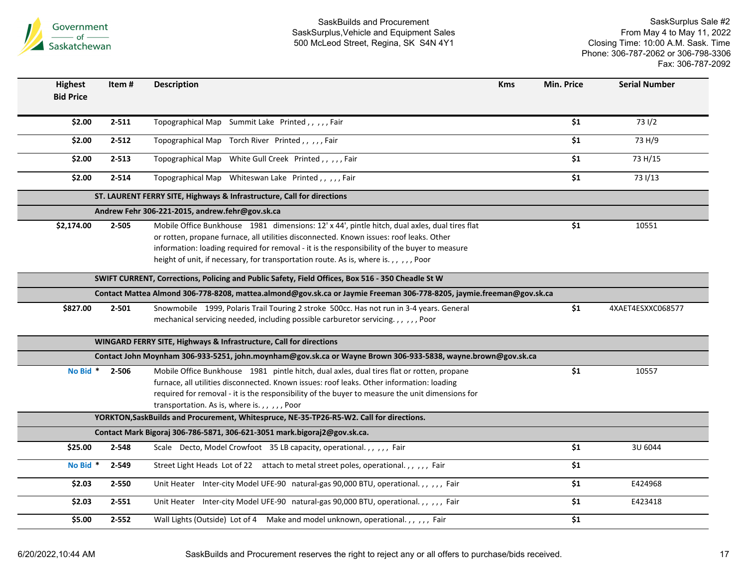

| <b>Highest</b>   | Item#     | <b>Description</b>                                                                                                                                                                                                                                                                                                                                                            | <b>Kms</b> | Min. Price | <b>Serial Number</b> |
|------------------|-----------|-------------------------------------------------------------------------------------------------------------------------------------------------------------------------------------------------------------------------------------------------------------------------------------------------------------------------------------------------------------------------------|------------|------------|----------------------|
| <b>Bid Price</b> |           |                                                                                                                                                                                                                                                                                                                                                                               |            |            |                      |
| \$2.00           | $2 - 511$ | Topographical Map Summit Lake Printed,,,,,Fair                                                                                                                                                                                                                                                                                                                                |            | \$1        | 731/2                |
| \$2.00           | $2 - 512$ | Topographical Map Torch River Printed,,,,,Fair                                                                                                                                                                                                                                                                                                                                |            | \$1        | 73 H/9               |
| \$2.00           | $2 - 513$ | Topographical Map White Gull Creek Printed,,,,,Fair                                                                                                                                                                                                                                                                                                                           |            | \$1        | 73 H/15              |
| \$2.00           | $2 - 514$ | Topographical Map Whiteswan Lake Printed,,,,,Fair                                                                                                                                                                                                                                                                                                                             |            | \$1        | 73 1/13              |
|                  |           | ST. LAURENT FERRY SITE, Highways & Infrastructure, Call for directions                                                                                                                                                                                                                                                                                                        |            |            |                      |
|                  |           | Andrew Fehr 306-221-2015, andrew.fehr@gov.sk.ca                                                                                                                                                                                                                                                                                                                               |            |            |                      |
| \$2,174.00       | $2 - 505$ | Mobile Office Bunkhouse 1981 dimensions: 12' x 44', pintle hitch, dual axles, dual tires flat<br>or rotten, propane furnace, all utilities disconnected. Known issues: roof leaks. Other<br>information: loading required for removal - it is the responsibility of the buyer to measure<br>height of unit, if necessary, for transportation route. As is, where is.,,,,,Poor |            | \$1        | 10551                |
|                  |           | SWIFT CURRENT, Corrections, Policing and Public Safety, Field Offices, Box 516 - 350 Cheadle St W                                                                                                                                                                                                                                                                             |            |            |                      |
|                  |           | Contact Mattea Almond 306-778-8208, mattea.almond@gov.sk.ca or Jaymie Freeman 306-778-8205, jaymie.freeman@gov.sk.ca                                                                                                                                                                                                                                                          |            |            |                      |
| \$827.00         | $2 - 501$ | Snowmobile 1999, Polaris Trail Touring 2 stroke 500cc. Has not run in 3-4 years. General<br>mechanical servicing needed, including possible carburetor servicing.,,,,,,Poor                                                                                                                                                                                                   |            | \$1        | 4XAET4ESXXC068577    |
|                  |           | WINGARD FERRY SITE, Highways & Infrastructure, Call for directions                                                                                                                                                                                                                                                                                                            |            |            |                      |
|                  |           | Contact John Moynham 306-933-5251, john.moynham@gov.sk.ca or Wayne Brown 306-933-5838, wayne.brown@gov.sk.ca                                                                                                                                                                                                                                                                  |            |            |                      |
| No Bid *         | 2-506     | Mobile Office Bunkhouse 1981 pintle hitch, dual axles, dual tires flat or rotten, propane<br>furnace, all utilities disconnected. Known issues: roof leaks. Other information: loading<br>required for removal - it is the responsibility of the buyer to measure the unit dimensions for<br>transportation. As is, where is.,,,,,Poor                                        |            | \$1        | 10557                |
|                  |           | YORKTON, SaskBuilds and Procurement, Whitespruce, NE-35-TP26-R5-W2. Call for directions.                                                                                                                                                                                                                                                                                      |            |            |                      |
|                  |           | Contact Mark Bigoraj 306-786-5871, 306-621-3051 mark.bigoraj2@gov.sk.ca.                                                                                                                                                                                                                                                                                                      |            |            |                      |
| \$25.00          | 2-548     | Scale Decto, Model Crowfoot 35 LB capacity, operational.,,,,, Fair                                                                                                                                                                                                                                                                                                            |            | \$1        | 3U 6044              |
| No Bid *         | 2-549     | Street Light Heads Lot of 22 attach to metal street poles, operational.,,,,,Fair                                                                                                                                                                                                                                                                                              |            | \$1        |                      |
| \$2.03           | 2-550     | Unit Heater Inter-city Model UFE-90 natural-gas 90,000 BTU, operational.,,,,,Fair                                                                                                                                                                                                                                                                                             |            | \$1        | E424968              |
| \$2.03           | $2 - 551$ | Unit Heater Inter-city Model UFE-90 natural-gas 90,000 BTU, operational.,,,,,,Fair                                                                                                                                                                                                                                                                                            |            | \$1        | E423418              |
| \$5.00           | $2 - 552$ | Wall Lights (Outside) Lot of 4 Make and model unknown, operational.,,,,, Fair                                                                                                                                                                                                                                                                                                 |            | \$1        |                      |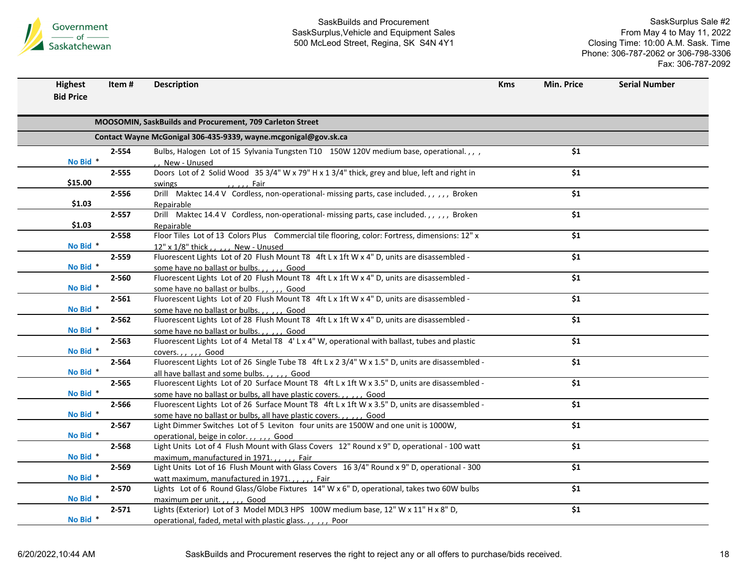

| <b>Highest</b>   | Item#     | <b>Description</b>                                                                                                                     | <b>Kms</b> | Min. Price       | <b>Serial Number</b> |
|------------------|-----------|----------------------------------------------------------------------------------------------------------------------------------------|------------|------------------|----------------------|
| <b>Bid Price</b> |           |                                                                                                                                        |            |                  |                      |
|                  |           |                                                                                                                                        |            |                  |                      |
|                  |           | MOOSOMIN, SaskBuilds and Procurement, 709 Carleton Street                                                                              |            |                  |                      |
|                  |           | Contact Wayne McGonigal 306-435-9339, wayne.mcgonigal@gov.sk.ca                                                                        |            |                  |                      |
|                  | 2-554     | Bulbs, Halogen Lot of 15 Sylvania Tungsten T10 150W 120V medium base, operational.,,,                                                  |            | \$1              |                      |
| No Bid *         |           | New - Unused                                                                                                                           |            |                  |                      |
|                  | $2 - 555$ | Doors Lot of 2 Solid Wood 35 3/4" W x 79" H x 1 3/4" thick, grey and blue, left and right in                                           |            | \$1              |                      |
| \$15.00          |           | swings<br><u>ne dia mandria dia kaominina mpika 50 metatra.</u>                                                                        |            |                  |                      |
|                  | 2-556     | Drill Maktec 14.4 V Cordless, non-operational- missing parts, case included.,,,,,, Broken                                              |            | $\overline{\$1}$ |                      |
| \$1.03           |           | Repairable                                                                                                                             |            |                  |                      |
|                  | $2 - 557$ | Drill Maktec 14.4 V Cordless, non-operational- missing parts, case included.,,,,,Broken                                                |            | \$1              |                      |
| \$1.03           |           | Repairable<br>Floor Tiles Lot of 13 Colors Plus Commercial tile flooring, color: Fortress, dimensions: 12" x                           |            | \$1              |                      |
| No Bid *         | 2-558     |                                                                                                                                        |            |                  |                      |
|                  | $2 - 559$ | 12" x 1/8" thick,,,,, New - Unused<br>Fluorescent Lights Lot of 20 Flush Mount T8 4ft L x 1ft W x 4" D, units are disassembled -       |            | \$1              |                      |
| No Bid *         |           |                                                                                                                                        |            |                  |                      |
|                  | 2-560     | some have no ballast or bulbs.,,,,, Good<br>Fluorescent Lights Lot of 20 Flush Mount T8 4ft L x 1ft W x 4" D, units are disassembled - |            | $\overline{\$1}$ |                      |
| No Bid *         |           | some have no ballast or bulbs.,,,,, Good                                                                                               |            |                  |                      |
|                  | $2 - 561$ | Fluorescent Lights Lot of 20 Flush Mount T8 4ft L x 1ft W x 4" D, units are disassembled -                                             |            | \$1              |                      |
| No Bid *         |           | some have no ballast or bulbs.,,,,, Good                                                                                               |            |                  |                      |
|                  | $2 - 562$ | Fluorescent Lights Lot of 28 Flush Mount T8 4ft L x 1ft W x 4" D, units are disassembled -                                             |            | $\overline{\$1}$ |                      |
| No Bid *         |           | some have no ballast or bulbs.,,,,, Good                                                                                               |            |                  |                      |
|                  | $2 - 563$ | Fluorescent Lights Lot of 4 Metal T8 4'L x 4" W, operational with ballast, tubes and plastic                                           |            | \$1              |                      |
| No Bid *         |           | coversGood                                                                                                                             |            |                  |                      |
|                  | 2-564     | Fluorescent Lights Lot of 26 Single Tube T8 4ft L x 2 3/4" W x 1.5" D, units are disassembled -                                        |            | \$1              |                      |
| No Bid *         |           | all have ballast and some bulbs.,,,,,, Good                                                                                            |            |                  |                      |
|                  | $2 - 565$ | Fluorescent Lights Lot of 20 Surface Mount T8 4ft L x 1ft W x 3.5" D, units are disassembled -                                         |            | \$1              |                      |
| No Bid *         |           | some have no ballast or bulbs, all have plastic covers.,,,,, Good                                                                      |            |                  |                      |
|                  | 2-566     | Fluorescent Lights Lot of 26 Surface Mount T8 4ft L x 1ft W x 3.5" D, units are disassembled -                                         |            | \$1              |                      |
| No Bid *         |           | some have no ballast or bulbs, all have plastic covers.,,,,, Good                                                                      |            |                  |                      |
|                  | $2 - 567$ | Light Dimmer Switches Lot of 5 Leviton four units are 1500W and one unit is 1000W,                                                     |            | \$1              |                      |
| No Bid *         |           | operational, beige in color.,,,,, Good                                                                                                 |            |                  |                      |
|                  | 2-568     | Light Units Lot of 4 Flush Mount with Glass Covers 12" Round x 9" D, operational - 100 watt                                            |            | \$1              |                      |
| No Bid *         |           | maximum, manufactured in 1971.,,,,, Fair                                                                                               |            |                  |                      |
|                  | $2 - 569$ | Light Units Lot of 16 Flush Mount with Glass Covers 16 3/4" Round x 9" D, operational - 300                                            |            | \$1              |                      |
| No Bid *         |           | watt maximum, manufactured in 1971.,,,,, Fair                                                                                          |            |                  |                      |
|                  | $2 - 570$ | Lights Lot of 6 Round Glass/Globe Fixtures 14" W x 6" D, operational, takes two 60W bulbs                                              |            | \$1              |                      |
| No Bid *         |           | maximum per unit.,,,,, Good                                                                                                            |            |                  |                      |
|                  | $2 - 571$ | Lights (Exterior) Lot of 3 Model MDL3 HPS 100W medium base, 12" W x 11" H x 8" D,                                                      |            | \$1              |                      |
| No Bid *         |           | operational, faded, metal with plastic glass.,,,,, Poor                                                                                |            |                  |                      |